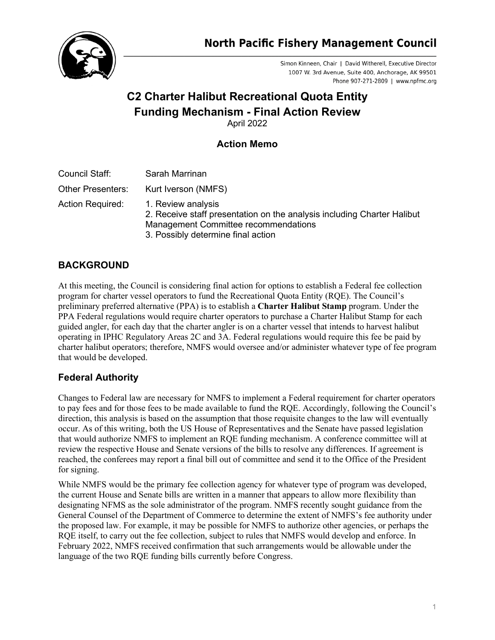

Simon Kinneen, Chair | David Witherell, Executive Director 1007 W. 3rd Avenue, Suite 400, Anchorage, AK 99501 Phone 907-271-2809 | www.npfmc.org

# **C2 Charter Halibut Recreational Quota Entity Funding Mechanism - Final Action Review** April 2022

### **Action Memo**

| Council Staff:           | Sarah Marrinan                                                                                                                                                              |
|--------------------------|-----------------------------------------------------------------------------------------------------------------------------------------------------------------------------|
| <b>Other Presenters:</b> | Kurt Iverson (NMFS)                                                                                                                                                         |
| <b>Action Required:</b>  | 1. Review analysis<br>2. Receive staff presentation on the analysis including Charter Halibut<br>Management Committee recommendations<br>3. Possibly determine final action |

#### **BACKGROUND**

At this meeting, the Council is considering final action for options to establish a Federal fee collection program for charter vessel operators to fund the Recreational Quota Entity (RQE). The Council's preliminary preferred alternative (PPA) is to establish a **Charter Halibut Stamp** program. Under the PPA Federal regulations would require charter operators to purchase a Charter Halibut Stamp for each guided angler, for each day that the charter angler is on a charter vessel that intends to harvest halibut operating in IPHC Regulatory Areas 2C and 3A. Federal regulations would require this fee be paid by charter halibut operators; therefore, NMFS would oversee and/or administer whatever type of fee program that would be developed.

### **Federal Authority**

Changes to Federal law are necessary for NMFS to implement a Federal requirement for charter operators to pay fees and for those fees to be made available to fund the RQE. Accordingly, following the Council's direction, this analysis is based on the assumption that those requisite changes to the law will eventually occur. As of this writing, both the US House of Representatives and the Senate have passed legislation that would authorize NMFS to implement an RQE funding mechanism. A conference committee will at review the respective House and Senate versions of the bills to resolve any differences. If agreement is reached, the conferees may report a final bill out of committee and send it to the Office of the President for signing.

While NMFS would be the primary fee collection agency for whatever type of program was developed, the current House and Senate bills are written in a manner that appears to allow more flexibility than designating NFMS as the sole administrator of the program. NMFS recently sought guidance from the General Counsel of the Department of Commerce to determine the extent of NMFS's fee authority under the proposed law. For example, it may be possible for NMFS to authorize other agencies, or perhaps the RQE itself, to carry out the fee collection, subject to rules that NMFS would develop and enforce. In February 2022, NMFS received confirmation that such arrangements would be allowable under the language of the two RQE funding bills currently before Congress.